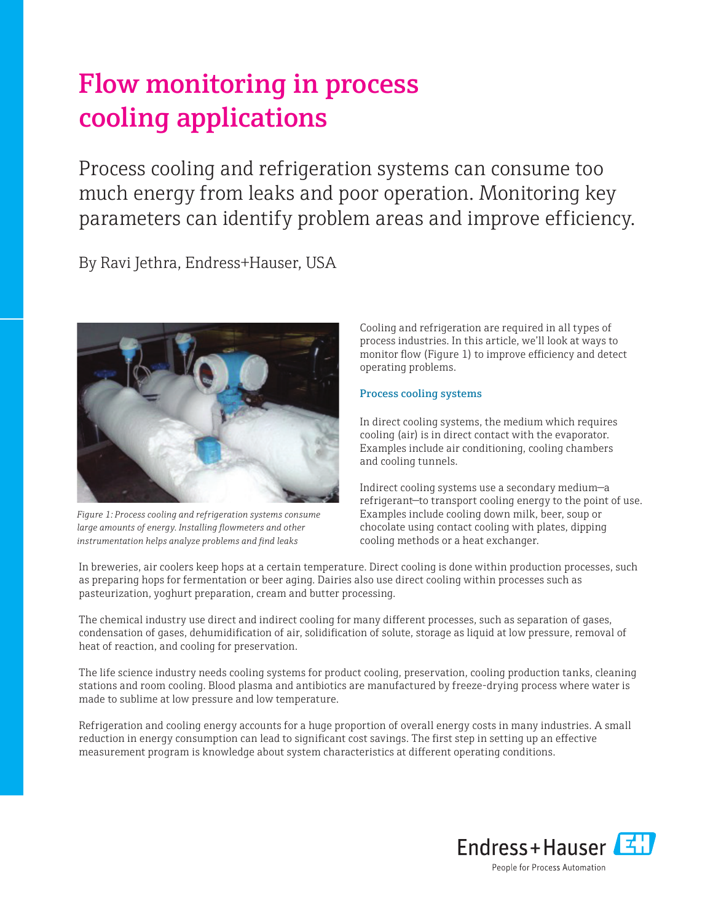# Flow monitoring in process cooling applications

Process cooling and refrigeration systems can consume too much energy from leaks and poor operation. Monitoring key parameters can identify problem areas and improve efficiency.

By Ravi Jethra, Endress+Hauser, USA



*Figure 1: Process cooling and refrigeration systems consume large amounts of energy. Installing flowmeters and other instrumentation helps analyze problems and find leaks*

Cooling and refrigeration are required in all types of process industries. In this article, we'll look at ways to monitor flow (Figure 1) to improve efficiency and detect operating problems.

# Process cooling systems

In direct cooling systems, the medium which requires cooling (air) is in direct contact with the evaporator. Examples include air conditioning, cooling chambers and cooling tunnels.

Indirect cooling systems use a secondary medium—a refrigerant—to transport cooling energy to the point of use. Examples include cooling down milk, beer, soup or chocolate using contact cooling with plates, dipping cooling methods or a heat exchanger.

In breweries, air coolers keep hops at a certain temperature. Direct cooling is done within production processes, such as preparing hops for fermentation or beer aging. Dairies also use direct cooling within processes such as pasteurization, yoghurt preparation, cream and butter processing.

The chemical industry use direct and indirect cooling for many different processes, such as separation of gases, condensation of gases, dehumidification of air, solidification of solute, storage as liquid at low pressure, removal of heat of reaction, and cooling for preservation.

The life science industry needs cooling systems for product cooling, preservation, cooling production tanks, cleaning stations and room cooling. Blood plasma and antibiotics are manufactured by freeze-drying process where water is made to sublime at low pressure and low temperature.

Refrigeration and cooling energy accounts for a huge proportion of overall energy costs in many industries. A small reduction in energy consumption can lead to significant cost savings. The first step in setting up an effective measurement program is knowledge about system characteristics at different operating conditions.

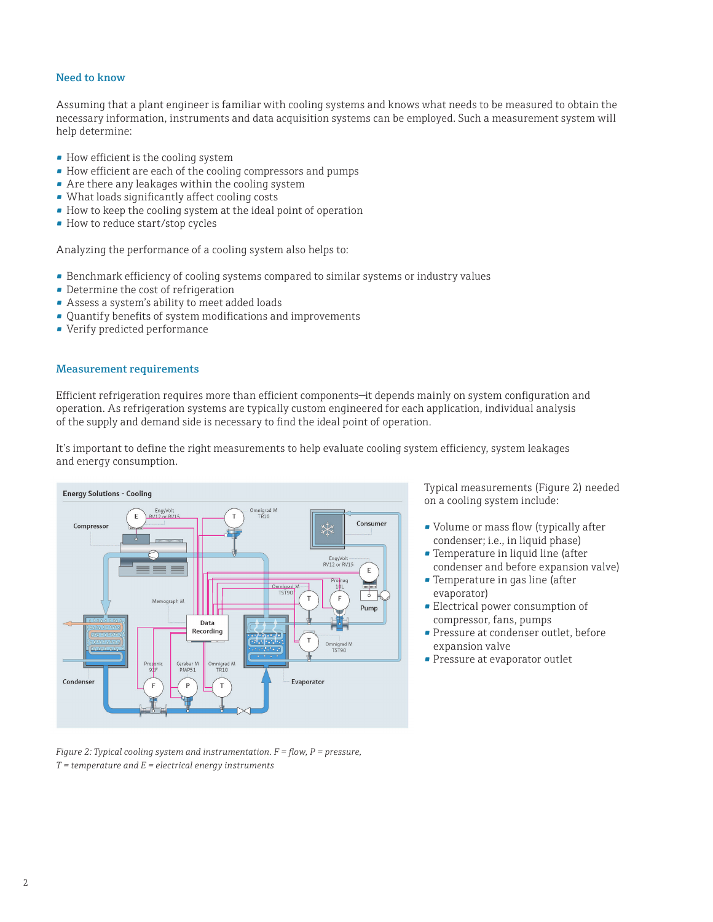# Need to know

Assuming that a plant engineer is familiar with cooling systems and knows what needs to be measured to obtain the necessary information, instruments and data acquisition systems can be employed. Such a measurement system will help determine:

- How efficient is the cooling system
- How efficient are each of the cooling compressors and pumps
- Are there any leakages within the cooling system
- What loads significantly affect cooling costs
- How to keep the cooling system at the ideal point of operation
- How to reduce start/stop cycles

Analyzing the performance of a cooling system also helps to:

- Benchmark efficiency of cooling systems compared to similar systems or industry values
- Determine the cost of refrigeration
- Assess a system's ability to meet added loads
- Quantify benefits of system modifications and improvements
- Verify predicted performance

#### Measurement requirements

Efficient refrigeration requires more than efficient components—it depends mainly on system configuration and operation. As refrigeration systems are typically custom engineered for each application, individual analysis of the supply and demand side is necessary to find the ideal point of operation.

It's important to define the right measurements to help evaluate cooling system efficiency, system leakages and energy consumption.



*Figure 2: Typical cooling system and instrumentation. F = flow, P = pressure, T = temperature and E = electrical energy instruments*

Typical measurements (Figure 2) needed on a cooling system include:

- Volume or mass flow (typically after condenser; i.e., in liquid phase)
- Temperature in liquid line (after condenser and before expansion valve)
- Temperature in gas line (after evaporator)
- Electrical power consumption of compressor, fans, pumps
- Pressure at condenser outlet, before expansion valve
- **Pressure at evaporator outlet**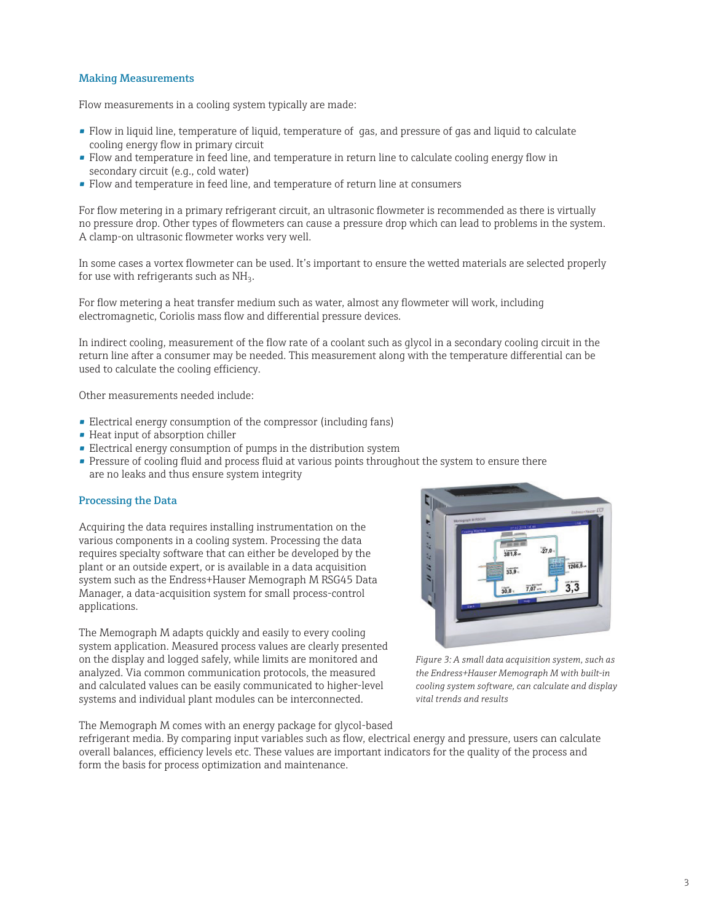### Making Measurements

Flow measurements in a cooling system typically are made:

- Flow in liquid line, temperature of liquid, temperature of gas, and pressure of gas and liquid to calculate cooling energy flow in primary circuit
- Flow and temperature in feed line, and temperature in return line to calculate cooling energy flow in secondary circuit (e.g., cold water)
- Flow and temperature in feed line, and temperature of return line at consumers

For flow metering in a primary refrigerant circuit, an ultrasonic flowmeter is recommended as there is virtually no pressure drop. Other types of flowmeters can cause a pressure drop which can lead to problems in the system. A clamp-on ultrasonic flowmeter works very well.

In some cases a vortex flowmeter can be used. It's important to ensure the wetted materials are selected properly for use with refrigerants such as  $NH<sub>3</sub>$ .

For flow metering a heat transfer medium such as water, almost any flowmeter will work, including electromagnetic, Coriolis mass flow and differential pressure devices.

In indirect cooling, measurement of the flow rate of a coolant such as glycol in a secondary cooling circuit in the return line after a consumer may be needed. This measurement along with the temperature differential can be used to calculate the cooling efficiency.

Other measurements needed include:

- Electrical energy consumption of the compressor (including fans)
- Heat input of absorption chiller
- Electrical energy consumption of pumps in the distribution system
- Pressure of cooling fluid and process fluid at various points throughout the system to ensure there are no leaks and thus ensure system integrity

#### Processing the Data

Acquiring the data requires installing instrumentation on the various components in a cooling system. Processing the data requires specialty software that can either be developed by the plant or an outside expert, or is available in a data acquisition system such as the Endress+Hauser Memograph M RSG45 Data Manager, a data-acquisition system for small process-control applications.

The Memograph M adapts quickly and easily to every cooling system application. Measured process values are clearly presented on the display and logged safely, while limits are monitored and analyzed. Via common communication protocols, the measured and calculated values can be easily communicated to higher-level systems and individual plant modules can be interconnected.

The Memograph M comes with an energy package for glycol-based

 $\mathbf{r}$ t.  $\mathcal{L}$  $\frac{1}{27.0}$ 18.11 1266,  $\pi$  $\overline{\phantom{a}}$  $3<sub>3</sub>$ 

*Figure 3: A small data acquisition system, such as the Endress+Hauser Memograph M with built-in cooling system software, can calculate and display vital trends and results*

refrigerant media. By comparing input variables such as flow, electrical energy and pressure, users can calculate overall balances, efficiency levels etc. These values are important indicators for the quality of the process and form the basis for process optimization and maintenance.